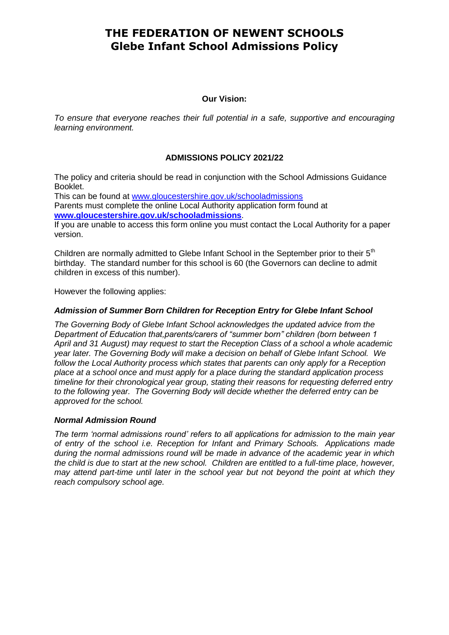#### **Our Vision:**

*To ensure that everyone reaches their full potential in a safe, supportive and encouraging learning environment.*

### **ADMISSIONS POLICY 2021/22**

The policy and criteria should be read in conjunction with the School Admissions Guidance Booklet.

This can be found at [www.gloucestershire.gov.uk/schooladmissions](http://www.gloucestershire.gov.uk/schooladmissions) Parents must complete the online Local Authority application form found at **[www.gloucestershire.gov.uk/schooladmissions](http://www.gloucestershire.gov.uk/schooladmissions)**.

If you are unable to access this form online you must contact the Local Authority for a paper version.

Children are normally admitted to Glebe Infant School in the September prior to their 5<sup>th</sup> birthday. The standard number for this school is 60 (the Governors can decline to admit children in excess of this number).

However the following applies:

#### *Admission of Summer Born Children for Reception Entry for Glebe Infant School*

*The Governing Body of Glebe Infant School acknowledges the updated advice from the Department of Education that,parents/carers of "summer born" children (born between 1 April and 31 August) may request to start the Reception Class of a school a whole academic year later. The Governing Body will make a decision on behalf of Glebe Infant School. We follow the Local Authority process which states that parents can only apply for a Reception place at a school once and must apply for a place during the standard application process timeline for their chronological year group, stating their reasons for requesting deferred entry to the following year. The Governing Body will decide whether the deferred entry can be approved for the school.*

### *Normal Admission Round*

*The term 'normal admissions round' refers to all applications for admission to the main year of entry of the school i.e. Reception for Infant and Primary Schools. Applications made during the normal admissions round will be made in advance of the academic year in which the child is due to start at the new school. Children are entitled to a full-time place, however, may attend part-time until later in the school year but not beyond the point at which they reach compulsory school age.*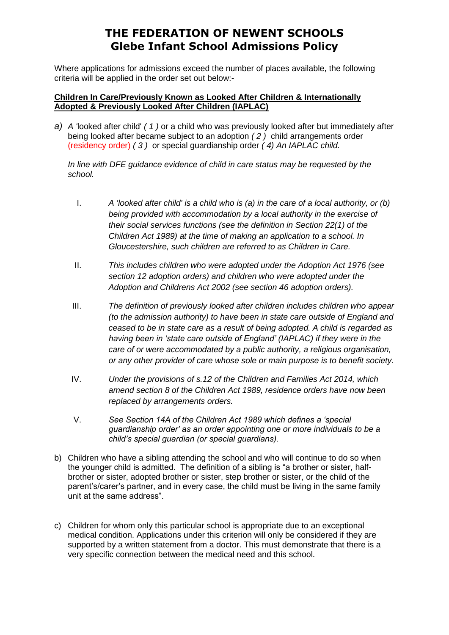Where applications for admissions exceed the number of places available, the following criteria will be applied in the order set out below:-

# **Children In Care/Previously Known as Looked After Children & Internationally Adopted & Previously Looked After Children (IAPLAC)**

*a) A '*looked after child' *( 1 )* or a child who was previously looked after but immediately after being looked after became subject to an adoption *( 2 )* child arrangements order (residency order) *( 3 )* or special guardianship order *( 4) An IAPLAC child.*

*In line with DFE guidance evidence of child in care status may be requested by the school.*

- I. *A 'looked after child' is a child who is (a) in the care of a local authority, or (b) being provided with accommodation by a local authority in the exercise of their social services functions (see the definition in Section 22(1) of the Children Act 1989) at the time of making an application to a school. In Gloucestershire, such children are referred to as Children in Care.*
- II. *This includes children who were adopted under the Adoption Act 1976 (see section 12 adoption orders) and children who were adopted under the Adoption and Childrens Act 2002 (see section 46 adoption orders).*
- III. *The definition of previously looked after children includes children who appear (to the admission authority) to have been in state care outside of England and ceased to be in state care as a result of being adopted. A child is regarded as having been in 'state care outside of England' (IAPLAC) if they were in the care of or were accommodated by a public authority, a religious organisation, or any other provider of care whose sole or main purpose is to benefit society.*
- IV. *Under the provisions of s.12 of the Children and Families Act 2014, which amend section 8 of the Children Act 1989, residence orders have now been replaced by arrangements orders.*
- V. *See Section 14A of the Children Act 1989 which defines a 'special guardianship order' as an order appointing one or more individuals to be a child's special guardian (or special guardians).*
- b) Children who have a sibling attending the school and who will continue to do so when the younger child is admitted. The definition of a sibling is "a brother or sister, halfbrother or sister, adopted brother or sister, step brother or sister, or the child of the parent's/carer's partner, and in every case, the child must be living in the same family unit at the same address".
- c) Children for whom only this particular school is appropriate due to an exceptional medical condition. Applications under this criterion will only be considered if they are supported by a written statement from a doctor. This must demonstrate that there is a very specific connection between the medical need and this school.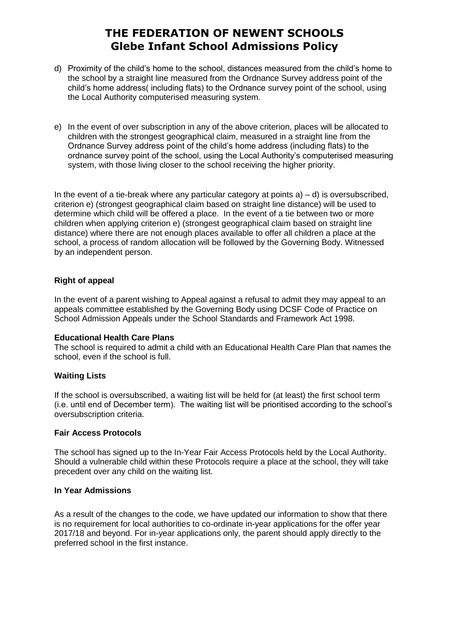- d) Proximity of the child's home to the school, distances measured from the child's home to the school by a straight line measured from the Ordnance Survey address point of the child's home address( including flats) to the Ordnance survey point of the school, using the Local Authority computerised measuring system.
- e) In the event of over subscription in any of the above criterion, places will be allocated to children with the strongest geographical claim, measured in a straight line from the Ordnance Survey address point of the child's home address (including flats) to the ordnance survey point of the school, using the Local Authority's computerised measuring system, with those living closer to the school receiving the higher priority.

In the event of a tie-break where any particular category at points  $a$ ) – d) is oversubscribed, criterion e) (strongest geographical claim based on straight line distance) will be used to determine which child will be offered a place. In the event of a tie between two or more children when applying criterion e) (strongest geographical claim based on straight line distance) where there are not enough places available to offer all children a place at the school, a process of random allocation will be followed by the Governing Body. Witnessed by an independent person.

# **Right of appeal**

In the event of a parent wishing to Appeal against a refusal to admit they may appeal to an appeals committee established by the Governing Body using DCSF Code of Practice on School Admission Appeals under the School Standards and Framework Act 1998.

### **Educational Health Care Plans**

The school is required to admit a child with an Educational Health Care Plan that names the school, even if the school is full.

### **Waiting Lists**

If the school is oversubscribed, a waiting list will be held for (at least) the first school term (i.e. until end of December term). The waiting list will be prioritised according to the school's oversubscription criteria.

### **Fair Access Protocols**

The school has signed up to the In-Year Fair Access Protocols held by the Local Authority. Should a vulnerable child within these Protocols require a place at the school, they will take precedent over any child on the waiting list.

### **In Year Admissions**

As a result of the changes to the code, we have updated our information to show that there is no requirement for local authorities to co-ordinate in-year applications for the offer year 2017/18 and beyond. For in-year applications only, the parent should apply directly to the preferred school in the first instance.